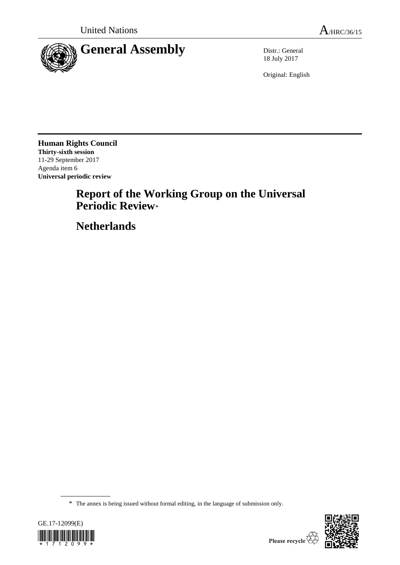

18 July 2017

Original: English

**Human Rights Council Thirty-sixth session** 11-29 September 2017 Agenda item 6 **Universal periodic review**

# **Report of the Working Group on the Universal Periodic Review**\*

**Netherlands**

<sup>\*</sup> The annex is being issued without formal editing, in the language of submission only.



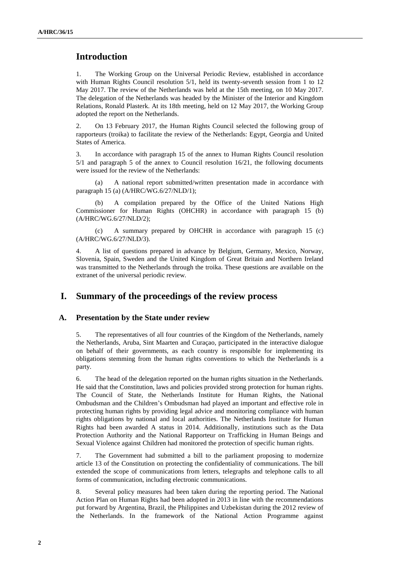# **Introduction**

1. The Working Group on the Universal Periodic Review, established in accordance with Human Rights Council resolution 5/1, held its twenty-seventh session from 1 to 12 May 2017. The review of the Netherlands was held at the 15th meeting, on 10 May 2017. The delegation of the Netherlands was headed by the Minister of the Interior and Kingdom Relations, Ronald Plasterk. At its 18th meeting, held on 12 May 2017, the Working Group adopted the report on the Netherlands.

2. On 13 February 2017, the Human Rights Council selected the following group of rapporteurs (troika) to facilitate the review of the Netherlands: Egypt, Georgia and United States of America.

3. In accordance with paragraph 15 of the annex to Human Rights Council resolution 5/1 and paragraph 5 of the annex to Council resolution 16/21, the following documents were issued for the review of the Netherlands:

(a) A national report submitted/written presentation made in accordance with paragraph 15 (a) (A/HRC/WG.6/27/NLD/1);

A compilation prepared by the Office of the United Nations High Commissioner for Human Rights (OHCHR) in accordance with paragraph 15 (b) (A/HRC/WG.6/27/NLD/2);

(c) A summary prepared by OHCHR in accordance with paragraph 15 (c) (A/HRC/WG.6/27/NLD/3).

4. A list of questions prepared in advance by Belgium, Germany, Mexico, Norway, Slovenia, Spain, Sweden and the United Kingdom of Great Britain and Northern Ireland was transmitted to the Netherlands through the troika. These questions are available on the extranet of the universal periodic review.

## **I. Summary of the proceedings of the review process**

#### **A. Presentation by the State under review**

5. The representatives of all four countries of the Kingdom of the Netherlands, namely the Netherlands, Aruba, Sint Maarten and Curaçao, participated in the interactive dialogue on behalf of their governments, as each country is responsible for implementing its obligations stemming from the human rights conventions to which the Netherlands is a party.

6. The head of the delegation reported on the human rights situation in the Netherlands. He said that the Constitution, laws and policies provided strong protection for human rights. The Council of State, the Netherlands Institute for Human Rights, the National Ombudsman and the Children's Ombudsman had played an important and effective role in protecting human rights by providing legal advice and monitoring compliance with human rights obligations by national and local authorities. The Netherlands Institute for Human Rights had been awarded A status in 2014. Additionally, institutions such as the Data Protection Authority and the National Rapporteur on Trafficking in Human Beings and Sexual Violence against Children had monitored the protection of specific human rights.

7. The Government had submitted a bill to the parliament proposing to modernize article 13 of the Constitution on protecting the confidentiality of communications. The bill extended the scope of communications from letters, telegraphs and telephone calls to all forms of communication, including electronic communications.

8. Several policy measures had been taken during the reporting period. The National Action Plan on Human Rights had been adopted in 2013 in line with the recommendations put forward by Argentina, Brazil, the Philippines and Uzbekistan during the 2012 review of the Netherlands. In the framework of the National Action Programme against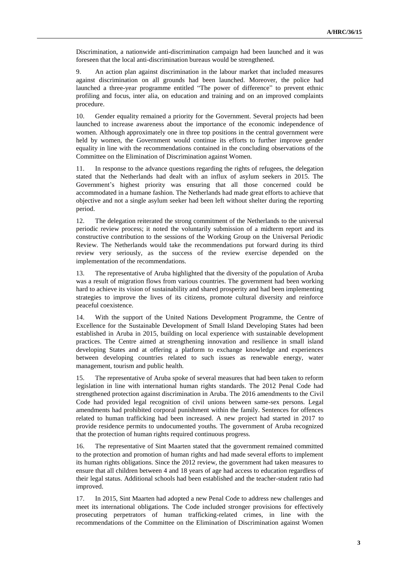Discrimination, a nationwide anti-discrimination campaign had been launched and it was foreseen that the local anti-discrimination bureaus would be strengthened.

9. An action plan against discrimination in the labour market that included measures against discrimination on all grounds had been launched. Moreover, the police had launched a three-year programme entitled "The power of difference" to prevent ethnic profiling and focus, inter alia, on education and training and on an improved complaints procedure.

10. Gender equality remained a priority for the Government. Several projects had been launched to increase awareness about the importance of the economic independence of women. Although approximately one in three top positions in the central government were held by women, the Government would continue its efforts to further improve gender equality in line with the recommendations contained in the concluding observations of the Committee on the Elimination of Discrimination against Women.

11. In response to the advance questions regarding the rights of refugees, the delegation stated that the Netherlands had dealt with an influx of asylum seekers in 2015. The Government's highest priority was ensuring that all those concerned could be accommodated in a humane fashion. The Netherlands had made great efforts to achieve that objective and not a single asylum seeker had been left without shelter during the reporting period.

12. The delegation reiterated the strong commitment of the Netherlands to the universal periodic review process; it noted the voluntarily submission of a midterm report and its constructive contribution to the sessions of the Working Group on the Universal Periodic Review. The Netherlands would take the recommendations put forward during its third review very seriously, as the success of the review exercise depended on the implementation of the recommendations.

13. The representative of Aruba highlighted that the diversity of the population of Aruba was a result of migration flows from various countries. The government had been working hard to achieve its vision of sustainability and shared prosperity and had been implementing strategies to improve the lives of its citizens, promote cultural diversity and reinforce peaceful coexistence.

14. With the support of the United Nations Development Programme, the Centre of Excellence for the Sustainable Development of Small Island Developing States had been established in Aruba in 2015, building on local experience with sustainable development practices. The Centre aimed at strengthening innovation and resilience in small island developing States and at offering a platform to exchange knowledge and experiences between developing countries related to such issues as renewable energy, water management, tourism and public health.

15. The representative of Aruba spoke of several measures that had been taken to reform legislation in line with international human rights standards. The 2012 Penal Code had strengthened protection against discrimination in Aruba. The 2016 amendments to the Civil Code had provided legal recognition of civil unions between same-sex persons. Legal amendments had prohibited corporal punishment within the family. Sentences for offences related to human trafficking had been increased. A new project had started in 2017 to provide residence permits to undocumented youths. The government of Aruba recognized that the protection of human rights required continuous progress.

16. The representative of Sint Maarten stated that the government remained committed to the protection and promotion of human rights and had made several efforts to implement its human rights obligations. Since the 2012 review, the government had taken measures to ensure that all children between 4 and 18 years of age had access to education regardless of their legal status. Additional schools had been established and the teacher-student ratio had improved.

17. In 2015, Sint Maarten had adopted a new Penal Code to address new challenges and meet its international obligations. The Code included stronger provisions for effectively prosecuting perpetrators of human trafficking-related crimes, in line with the recommendations of the Committee on the Elimination of Discrimination against Women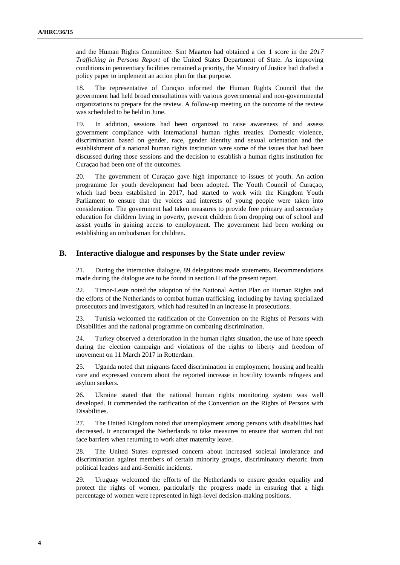and the Human Rights Committee. Sint Maarten had obtained a tier 1 score in the *2017 Trafficking in Persons Report* of the United States Department of State. As improving conditions in penitentiary facilities remained a priority, the Ministry of Justice had drafted a policy paper to implement an action plan for that purpose.

18. The representative of Curaçao informed the Human Rights Council that the government had held broad consultations with various governmental and non-governmental organizations to prepare for the review. A follow-up meeting on the outcome of the review was scheduled to be held in June.

19. In addition, sessions had been organized to raise awareness of and assess government compliance with international human rights treaties. Domestic violence, discrimination based on gender, race, gender identity and sexual orientation and the establishment of a national human rights institution were some of the issues that had been discussed during those sessions and the decision to establish a human rights institution for Curaçao had been one of the outcomes.

20. The government of Curaçao gave high importance to issues of youth. An action programme for youth development had been adopted. The Youth Council of Curaçao, which had been established in 2017, had started to work with the Kingdom Youth Parliament to ensure that the voices and interests of young people were taken into consideration. The government had taken measures to provide free primary and secondary education for children living in poverty, prevent children from dropping out of school and assist youths in gaining access to employment. The government had been working on establishing an ombudsman for children.

#### **B. Interactive dialogue and responses by the State under review**

21. During the interactive dialogue, 89 delegations made statements. Recommendations made during the dialogue are to be found in section II of the present report.

22. Timor-Leste noted the adoption of the National Action Plan on Human Rights and the efforts of the Netherlands to combat human trafficking, including by having specialized prosecutors and investigators, which had resulted in an increase in prosecutions.

23. Tunisia welcomed the ratification of the Convention on the Rights of Persons with Disabilities and the national programme on combating discrimination.

24. Turkey observed a deterioration in the human rights situation, the use of hate speech during the election campaign and violations of the rights to liberty and freedom of movement on 11 March 2017 in Rotterdam.

25. Uganda noted that migrants faced discrimination in employment, housing and health care and expressed concern about the reported increase in hostility towards refugees and asylum seekers.

26. Ukraine stated that the national human rights monitoring system was well developed. It commended the ratification of the Convention on the Rights of Persons with Disabilities.

27. The United Kingdom noted that unemployment among persons with disabilities had decreased. It encouraged the Netherlands to take measures to ensure that women did not face barriers when returning to work after maternity leave.

28. The United States expressed concern about increased societal intolerance and discrimination against members of certain minority groups, discriminatory rhetoric from political leaders and anti-Semitic incidents.

29. Uruguay welcomed the efforts of the Netherlands to ensure gender equality and protect the rights of women, particularly the progress made in ensuring that a high percentage of women were represented in high-level decision-making positions.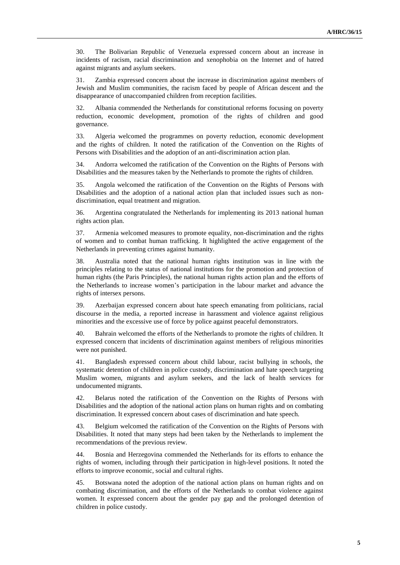30. The Bolivarian Republic of Venezuela expressed concern about an increase in incidents of racism, racial discrimination and xenophobia on the Internet and of hatred against migrants and asylum seekers.

31. Zambia expressed concern about the increase in discrimination against members of Jewish and Muslim communities, the racism faced by people of African descent and the disappearance of unaccompanied children from reception facilities.

32. Albania commended the Netherlands for constitutional reforms focusing on poverty reduction, economic development, promotion of the rights of children and good governance.

33. Algeria welcomed the programmes on poverty reduction, economic development and the rights of children. It noted the ratification of the Convention on the Rights of Persons with Disabilities and the adoption of an anti-discrimination action plan.

34. Andorra welcomed the ratification of the Convention on the Rights of Persons with Disabilities and the measures taken by the Netherlands to promote the rights of children.

35. Angola welcomed the ratification of the Convention on the Rights of Persons with Disabilities and the adoption of a national action plan that included issues such as nondiscrimination, equal treatment and migration.

36. Argentina congratulated the Netherlands for implementing its 2013 national human rights action plan.

37. Armenia welcomed measures to promote equality, non-discrimination and the rights of women and to combat human trafficking. It highlighted the active engagement of the Netherlands in preventing crimes against humanity.

38. Australia noted that the national human rights institution was in line with the principles relating to the status of national institutions for the promotion and protection of human rights (the Paris Principles), the national human rights action plan and the efforts of the Netherlands to increase women's participation in the labour market and advance the rights of intersex persons.

39. Azerbaijan expressed concern about hate speech emanating from politicians, racial discourse in the media, a reported increase in harassment and violence against religious minorities and the excessive use of force by police against peaceful demonstrators.

40. Bahrain welcomed the efforts of the Netherlands to promote the rights of children. It expressed concern that incidents of discrimination against members of religious minorities were not punished.

41. Bangladesh expressed concern about child labour, racist bullying in schools, the systematic detention of children in police custody, discrimination and hate speech targeting Muslim women, migrants and asylum seekers, and the lack of health services for undocumented migrants.

42. Belarus noted the ratification of the Convention on the Rights of Persons with Disabilities and the adoption of the national action plans on human rights and on combating discrimination. It expressed concern about cases of discrimination and hate speech.

43. Belgium welcomed the ratification of the Convention on the Rights of Persons with Disabilities. It noted that many steps had been taken by the Netherlands to implement the recommendations of the previous review.

44. Bosnia and Herzegovina commended the Netherlands for its efforts to enhance the rights of women, including through their participation in high-level positions. It noted the efforts to improve economic, social and cultural rights.

45. Botswana noted the adoption of the national action plans on human rights and on combating discrimination, and the efforts of the Netherlands to combat violence against women. It expressed concern about the gender pay gap and the prolonged detention of children in police custody.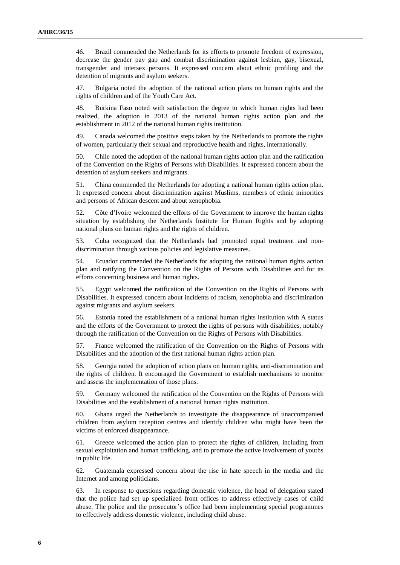46. Brazil commended the Netherlands for its efforts to promote freedom of expression, decrease the gender pay gap and combat discrimination against lesbian, gay, bisexual, transgender and intersex persons. It expressed concern about ethnic profiling and the detention of migrants and asylum seekers.

47. Bulgaria noted the adoption of the national action plans on human rights and the rights of children and of the Youth Care Act.

48. Burkina Faso noted with satisfaction the degree to which human rights had been realized, the adoption in 2013 of the national human rights action plan and the establishment in 2012 of the national human rights institution.

49. Canada welcomed the positive steps taken by the Netherlands to promote the rights of women, particularly their sexual and reproductive health and rights, internationally.

50. Chile noted the adoption of the national human rights action plan and the ratification of the Convention on the Rights of Persons with Disabilities. It expressed concern about the detention of asylum seekers and migrants.

51. China commended the Netherlands for adopting a national human rights action plan. It expressed concern about discrimination against Muslims, members of ethnic minorities and persons of African descent and about xenophobia.

52. Côte d'Ivoire welcomed the efforts of the Government to improve the human rights situation by establishing the Netherlands Institute for Human Rights and by adopting national plans on human rights and the rights of children.

53. Cuba recognized that the Netherlands had promoted equal treatment and nondiscrimination through various policies and legislative measures.

54. Ecuador commended the Netherlands for adopting the national human rights action plan and ratifying the Convention on the Rights of Persons with Disabilities and for its efforts concerning business and human rights.

55. Egypt welcomed the ratification of the Convention on the Rights of Persons with Disabilities. It expressed concern about incidents of racism, xenophobia and discrimination against migrants and asylum seekers.

56. Estonia noted the establishment of a national human rights institution with A status and the efforts of the Government to protect the rights of persons with disabilities, notably through the ratification of the Convention on the Rights of Persons with Disabilities.

57. France welcomed the ratification of the Convention on the Rights of Persons with Disabilities and the adoption of the first national human rights action plan.

58. Georgia noted the adoption of action plans on human rights, anti-discrimination and the rights of children. It encouraged the Government to establish mechanisms to monitor and assess the implementation of those plans.

59. Germany welcomed the ratification of the Convention on the Rights of Persons with Disabilities and the establishment of a national human rights institution.

60. Ghana urged the Netherlands to investigate the disappearance of unaccompanied children from asylum reception centres and identify children who might have been the victims of enforced disappearance.

61. Greece welcomed the action plan to protect the rights of children, including from sexual exploitation and human trafficking, and to promote the active involvement of youths in public life.

62. Guatemala expressed concern about the rise in hate speech in the media and the Internet and among politicians.

63. In response to questions regarding domestic violence, the head of delegation stated that the police had set up specialized front offices to address effectively cases of child abuse. The police and the prosecutor's office had been implementing special programmes to effectively address domestic violence, including child abuse.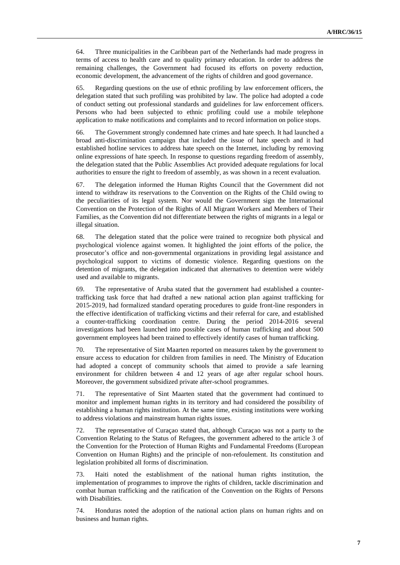64. Three municipalities in the Caribbean part of the Netherlands had made progress in terms of access to health care and to quality primary education. In order to address the remaining challenges, the Government had focused its efforts on poverty reduction, economic development, the advancement of the rights of children and good governance.

65. Regarding questions on the use of ethnic profiling by law enforcement officers, the delegation stated that such profiling was prohibited by law. The police had adopted a code of conduct setting out professional standards and guidelines for law enforcement officers. Persons who had been subjected to ethnic profiling could use a mobile telephone application to make notifications and complaints and to record information on police stops.

66. The Government strongly condemned hate crimes and hate speech. It had launched a broad anti-discrimination campaign that included the issue of hate speech and it had established hotline services to address hate speech on the Internet, including by removing online expressions of hate speech. In response to questions regarding freedom of assembly, the delegation stated that the Public Assemblies Act provided adequate regulations for local authorities to ensure the right to freedom of assembly, as was shown in a recent evaluation.

67. The delegation informed the Human Rights Council that the Government did not intend to withdraw its reservations to the Convention on the Rights of the Child owing to the peculiarities of its legal system. Nor would the Government sign the International Convention on the Protection of the Rights of All Migrant Workers and Members of Their Families, as the Convention did not differentiate between the rights of migrants in a legal or illegal situation.

68. The delegation stated that the police were trained to recognize both physical and psychological violence against women. It highlighted the joint efforts of the police, the prosecutor's office and non-governmental organizations in providing legal assistance and psychological support to victims of domestic violence. Regarding questions on the detention of migrants, the delegation indicated that alternatives to detention were widely used and available to migrants.

69. The representative of Aruba stated that the government had established a countertrafficking task force that had drafted a new national action plan against trafficking for 2015-2019, had formalized standard operating procedures to guide front-line responders in the effective identification of trafficking victims and their referral for care, and established a counter-trafficking coordination centre. During the period 2014-2016 several investigations had been launched into possible cases of human trafficking and about 500 government employees had been trained to effectively identify cases of human trafficking.

70. The representative of Sint Maarten reported on measures taken by the government to ensure access to education for children from families in need. The Ministry of Education had adopted a concept of community schools that aimed to provide a safe learning environment for children between 4 and 12 years of age after regular school hours. Moreover, the government subsidized private after-school programmes.

71. The representative of Sint Maarten stated that the government had continued to monitor and implement human rights in its territory and had considered the possibility of establishing a human rights institution. At the same time, existing institutions were working to address violations and mainstream human rights issues.

72. The representative of Curaçao stated that, although Curaçao was not a party to the Convention Relating to the Status of Refugees, the government adhered to the article 3 of the Convention for the Protection of Human Rights and Fundamental Freedoms (European Convention on Human Rights) and the principle of non-refoulement. Its constitution and legislation prohibited all forms of discrimination.

73. Haiti noted the establishment of the national human rights institution, the implementation of programmes to improve the rights of children, tackle discrimination and combat human trafficking and the ratification of the Convention on the Rights of Persons with Disabilities.

74. Honduras noted the adoption of the national action plans on human rights and on business and human rights.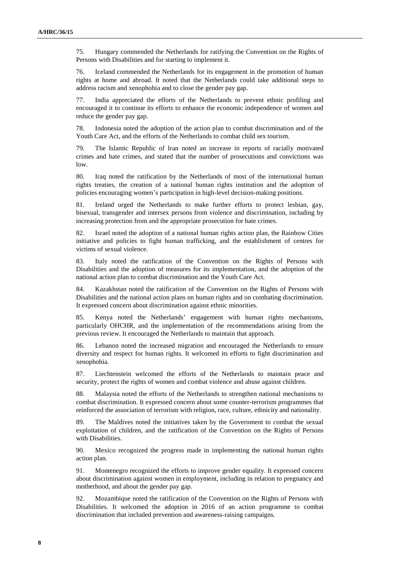75. Hungary commended the Netherlands for ratifying the Convention on the Rights of Persons with Disabilities and for starting to implement it.

76. Iceland commended the Netherlands for its engagement in the promotion of human rights at home and abroad. It noted that the Netherlands could take additional steps to address racism and xenophobia and to close the gender pay gap.

77. India appreciated the efforts of the Netherlands to prevent ethnic profiling and encouraged it to continue its efforts to enhance the economic independence of women and reduce the gender pay gap.

78. Indonesia noted the adoption of the action plan to combat discrimination and of the Youth Care Act, and the efforts of the Netherlands to combat child sex tourism.

79. The Islamic Republic of Iran noted an increase in reports of racially motivated crimes and hate crimes, and stated that the number of prosecutions and convictions was low.

80. Iraq noted the ratification by the Netherlands of most of the international human rights treaties, the creation of a national human rights institution and the adoption of policies encouraging women's participation in high-level decision-making positions.

81. Ireland urged the Netherlands to make further efforts to protect lesbian, gay, bisexual, transgender and intersex persons from violence and discrimination, including by increasing protection from and the appropriate prosecution for hate crimes.

82. Israel noted the adoption of a national human rights action plan, the Rainbow Cities initiative and policies to fight human trafficking, and the establishment of centres for victims of sexual violence.

83. Italy noted the ratification of the Convention on the Rights of Persons with Disabilities and the adoption of measures for its implementation, and the adoption of the national action plan to combat discrimination and the Youth Care Act.

84. Kazakhstan noted the ratification of the Convention on the Rights of Persons with Disabilities and the national action plans on human rights and on combating discrimination. It expressed concern about discrimination against ethnic minorities.

85. Kenya noted the Netherlands' engagement with human rights mechanisms, particularly OHCHR, and the implementation of the recommendations arising from the previous review. It encouraged the Netherlands to maintain that approach.

86. Lebanon noted the increased migration and encouraged the Netherlands to ensure diversity and respect for human rights. It welcomed its efforts to fight discrimination and xenophobia.

87. Liechtenstein welcomed the efforts of the Netherlands to maintain peace and security, protect the rights of women and combat violence and abuse against children.

88. Malaysia noted the efforts of the Netherlands to strengthen national mechanisms to combat discrimination. It expressed concern about some counter-terrorism programmes that reinforced the association of terrorism with religion, race, culture, ethnicity and nationality.

89. The Maldives noted the initiatives taken by the Government to combat the sexual exploitation of children, and the ratification of the Convention on the Rights of Persons with Disabilities.

90. Mexico recognized the progress made in implementing the national human rights action plan.

91. Montenegro recognized the efforts to improve gender equality. It expressed concern about discrimination against women in employment, including in relation to pregnancy and motherhood, and about the gender pay gap.

92. Mozambique noted the ratification of the Convention on the Rights of Persons with Disabilities. It welcomed the adoption in 2016 of an action programme to combat discrimination that included prevention and awareness-raising campaigns.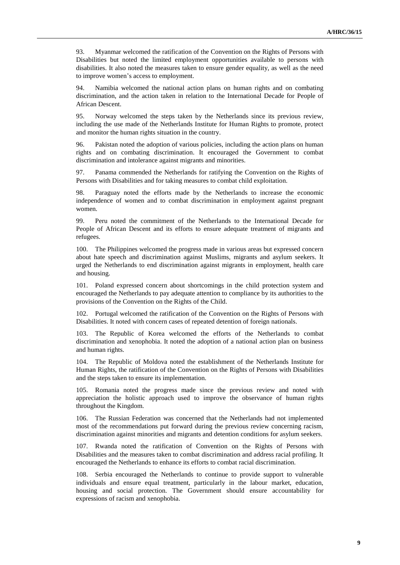93. Myanmar welcomed the ratification of the Convention on the Rights of Persons with Disabilities but noted the limited employment opportunities available to persons with disabilities. It also noted the measures taken to ensure gender equality, as well as the need to improve women's access to employment.

94. Namibia welcomed the national action plans on human rights and on combating discrimination, and the action taken in relation to the International Decade for People of African Descent.

95. Norway welcomed the steps taken by the Netherlands since its previous review, including the use made of the Netherlands Institute for Human Rights to promote, protect and monitor the human rights situation in the country.

96. Pakistan noted the adoption of various policies, including the action plans on human rights and on combating discrimination. It encouraged the Government to combat discrimination and intolerance against migrants and minorities.

97. Panama commended the Netherlands for ratifying the Convention on the Rights of Persons with Disabilities and for taking measures to combat child exploitation.

98. Paraguay noted the efforts made by the Netherlands to increase the economic independence of women and to combat discrimination in employment against pregnant women.

99. Peru noted the commitment of the Netherlands to the International Decade for People of African Descent and its efforts to ensure adequate treatment of migrants and refugees.

100. The Philippines welcomed the progress made in various areas but expressed concern about hate speech and discrimination against Muslims, migrants and asylum seekers. It urged the Netherlands to end discrimination against migrants in employment, health care and housing.

101. Poland expressed concern about shortcomings in the child protection system and encouraged the Netherlands to pay adequate attention to compliance by its authorities to the provisions of the Convention on the Rights of the Child.

102. Portugal welcomed the ratification of the Convention on the Rights of Persons with Disabilities. It noted with concern cases of repeated detention of foreign nationals.

103. The Republic of Korea welcomed the efforts of the Netherlands to combat discrimination and xenophobia. It noted the adoption of a national action plan on business and human rights.

104. The Republic of Moldova noted the establishment of the Netherlands Institute for Human Rights, the ratification of the Convention on the Rights of Persons with Disabilities and the steps taken to ensure its implementation.

105. Romania noted the progress made since the previous review and noted with appreciation the holistic approach used to improve the observance of human rights throughout the Kingdom.

106. The Russian Federation was concerned that the Netherlands had not implemented most of the recommendations put forward during the previous review concerning racism, discrimination against minorities and migrants and detention conditions for asylum seekers.

107. Rwanda noted the ratification of Convention on the Rights of Persons with Disabilities and the measures taken to combat discrimination and address racial profiling. It encouraged the Netherlands to enhance its efforts to combat racial discrimination.

108. Serbia encouraged the Netherlands to continue to provide support to vulnerable individuals and ensure equal treatment, particularly in the labour market, education, housing and social protection. The Government should ensure accountability for expressions of racism and xenophobia.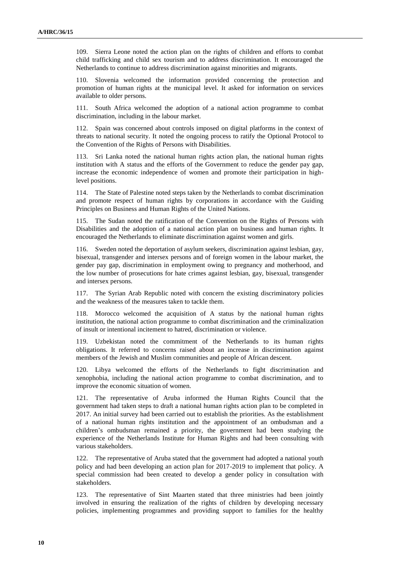109. Sierra Leone noted the action plan on the rights of children and efforts to combat child trafficking and child sex tourism and to address discrimination. It encouraged the Netherlands to continue to address discrimination against minorities and migrants.

110. Slovenia welcomed the information provided concerning the protection and promotion of human rights at the municipal level. It asked for information on services available to older persons.

111. South Africa welcomed the adoption of a national action programme to combat discrimination, including in the labour market.

112. Spain was concerned about controls imposed on digital platforms in the context of threats to national security. It noted the ongoing process to ratify the Optional Protocol to the Convention of the Rights of Persons with Disabilities.

113. Sri Lanka noted the national human rights action plan, the national human rights institution with A status and the efforts of the Government to reduce the gender pay gap, increase the economic independence of women and promote their participation in highlevel positions.

114. The State of Palestine noted steps taken by the Netherlands to combat discrimination and promote respect of human rights by corporations in accordance with the Guiding Principles on Business and Human Rights of the United Nations.

115. The Sudan noted the ratification of the Convention on the Rights of Persons with Disabilities and the adoption of a national action plan on business and human rights. It encouraged the Netherlands to eliminate discrimination against women and girls.

116. Sweden noted the deportation of asylum seekers, discrimination against lesbian, gay, bisexual, transgender and intersex persons and of foreign women in the labour market, the gender pay gap, discrimination in employment owing to pregnancy and motherhood, and the low number of prosecutions for hate crimes against lesbian, gay, bisexual, transgender and intersex persons.

117. The Syrian Arab Republic noted with concern the existing discriminatory policies and the weakness of the measures taken to tackle them.

118. Morocco welcomed the acquisition of A status by the national human rights institution, the national action programme to combat discrimination and the criminalization of insult or intentional incitement to hatred, discrimination or violence.

119. Uzbekistan noted the commitment of the Netherlands to its human rights obligations. It referred to concerns raised about an increase in discrimination against members of the Jewish and Muslim communities and people of African descent.

120. Libya welcomed the efforts of the Netherlands to fight discrimination and xenophobia, including the national action programme to combat discrimination, and to improve the economic situation of women.

121. The representative of Aruba informed the Human Rights Council that the government had taken steps to draft a national human rights action plan to be completed in 2017. An initial survey had been carried out to establish the priorities. As the establishment of a national human rights institution and the appointment of an ombudsman and a children's ombudsman remained a priority, the government had been studying the experience of the Netherlands Institute for Human Rights and had been consulting with various stakeholders.

122. The representative of Aruba stated that the government had adopted a national youth policy and had been developing an action plan for 2017-2019 to implement that policy. A special commission had been created to develop a gender policy in consultation with stakeholders.

123. The representative of Sint Maarten stated that three ministries had been jointly involved in ensuring the realization of the rights of children by developing necessary policies, implementing programmes and providing support to families for the healthy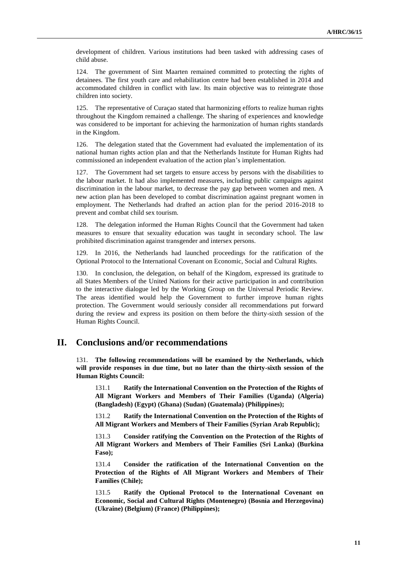development of children. Various institutions had been tasked with addressing cases of child abuse.

124. The government of Sint Maarten remained committed to protecting the rights of detainees. The first youth care and rehabilitation centre had been established in 2014 and accommodated children in conflict with law. Its main objective was to reintegrate those children into society.

125. The representative of Curaçao stated that harmonizing efforts to realize human rights throughout the Kingdom remained a challenge. The sharing of experiences and knowledge was considered to be important for achieving the harmonization of human rights standards in the Kingdom.

126. The delegation stated that the Government had evaluated the implementation of its national human rights action plan and that the Netherlands Institute for Human Rights had commissioned an independent evaluation of the action plan's implementation.

127. The Government had set targets to ensure access by persons with the disabilities to the labour market. It had also implemented measures, including public campaigns against discrimination in the labour market, to decrease the pay gap between women and men. A new action plan has been developed to combat discrimination against pregnant women in employment. The Netherlands had drafted an action plan for the period 2016-2018 to prevent and combat child sex tourism.

128. The delegation informed the Human Rights Council that the Government had taken measures to ensure that sexuality education was taught in secondary school. The law prohibited discrimination against transgender and intersex persons.

129. In 2016, the Netherlands had launched proceedings for the ratification of the Optional Protocol to the International Covenant on Economic, Social and Cultural Rights.

130. In conclusion, the delegation, on behalf of the Kingdom, expressed its gratitude to all States Members of the United Nations for their active participation in and contribution to the interactive dialogue led by the Working Group on the Universal Periodic Review. The areas identified would help the Government to further improve human rights protection. The Government would seriously consider all recommendations put forward during the review and express its position on them before the thirty-sixth session of the Human Rights Council.

## **II. Conclusions and/or recommendations**

131. **The following recommendations will be examined by the Netherlands, which will provide responses in due time, but no later than the thirty-sixth session of the Human Rights Council:**

131.1 **Ratify the International Convention on the Protection of the Rights of All Migrant Workers and Members of Their Families (Uganda) (Algeria) (Bangladesh) (Egypt) (Ghana) (Sudan) (Guatemala) (Philippines);**

131.2 **Ratify the International Convention on the Protection of the Rights of All Migrant Workers and Members of Their Families (Syrian Arab Republic);**

**Consider ratifying the Convention on the Protection of the Rights of All Migrant Workers and Members of Their Families (Sri Lanka) (Burkina Faso);**

131.4 **Consider the ratification of the International Convention on the Protection of the Rights of All Migrant Workers and Members of Their Families (Chile);**

131.5 **Ratify the Optional Protocol to the International Covenant on Economic, Social and Cultural Rights (Montenegro) (Bosnia and Herzegovina) (Ukraine) (Belgium) (France) (Philippines);**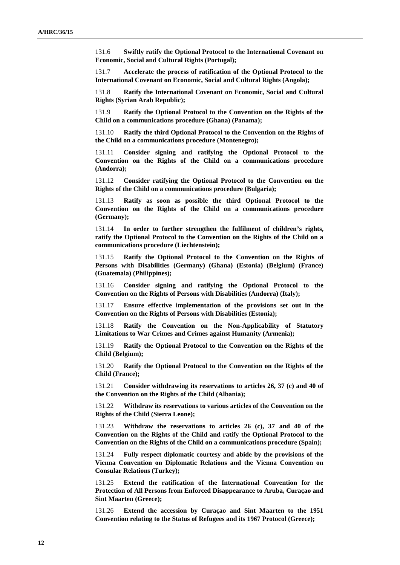131.6 **Swiftly ratify the Optional Protocol to the International Covenant on Economic, Social and Cultural Rights (Portugal);**

131.7 **Accelerate the process of ratification of the Optional Protocol to the International Covenant on Economic, Social and Cultural Rights (Angola);**

131.8 **Ratify the International Covenant on Economic, Social and Cultural Rights (Syrian Arab Republic);**

131.9 **Ratify the Optional Protocol to the Convention on the Rights of the Child on a communications procedure (Ghana) (Panama);**

131.10 **Ratify the third Optional Protocol to the Convention on the Rights of the Child on a communications procedure (Montenegro);**

131.11 **Consider signing and ratifying the Optional Protocol to the Convention on the Rights of the Child on a communications procedure (Andorra);**

131.12 **Consider ratifying the Optional Protocol to the Convention on the Rights of the Child on a communications procedure (Bulgaria);**

131.13 **Ratify as soon as possible the third Optional Protocol to the Convention on the Rights of the Child on a communications procedure (Germany);**

131.14 **In order to further strengthen the fulfilment of children's rights, ratify the Optional Protocol to the Convention on the Rights of the Child on a communications procedure (Liechtenstein);**

131.15 **Ratify the Optional Protocol to the Convention on the Rights of Persons with Disabilities (Germany) (Ghana) (Estonia) (Belgium) (France) (Guatemala) (Philippines);**

131.16 **Consider signing and ratifying the Optional Protocol to the Convention on the Rights of Persons with Disabilities (Andorra) (Italy);**

131.17 **Ensure effective implementation of the provisions set out in the Convention on the Rights of Persons with Disabilities (Estonia);**

131.18 **Ratify the Convention on the Non-Applicability of Statutory Limitations to War Crimes and Crimes against Humanity (Armenia);**

131.19 **Ratify the Optional Protocol to the Convention on the Rights of the Child (Belgium);**

131.20 **Ratify the Optional Protocol to the Convention on the Rights of the Child (France);**

131.21 **Consider withdrawing its reservations to articles 26, 37 (c) and 40 of the Convention on the Rights of the Child (Albania);**

131.22 **Withdraw its reservations to various articles of the Convention on the Rights of the Child (Sierra Leone);**

131.23 **Withdraw the reservations to articles 26 (c), 37 and 40 of the Convention on the Rights of the Child and ratify the Optional Protocol to the Convention on the Rights of the Child on a communications procedure (Spain);**

131.24 **Fully respect diplomatic courtesy and abide by the provisions of the Vienna Convention on Diplomatic Relations and the Vienna Convention on Consular Relations (Turkey);**

131.25 **Extend the ratification of the International Convention for the Protection of All Persons from Enforced Disappearance to Aruba, Curaçao and Sint Maarten (Greece);**

131.26 **Extend the accession by Curaçao and Sint Maarten to the 1951 Convention relating to the Status of Refugees and its 1967 Protocol (Greece);**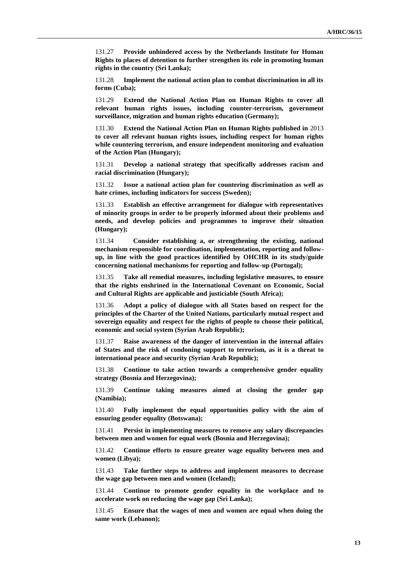131.27 **Provide unhindered access by the Netherlands Institute for Human Rights to places of detention to further strengthen its role in promoting human rights in the country (Sri Lanka);**

131.28 **Implement the national action plan to combat discrimination in all its forms (Cuba);**

131.29 **Extend the National Action Plan on Human Rights to cover all relevant human rights issues, including counter-terrorism, government surveillance, migration and human rights education (Germany);**

131.30 **Extend the National Action Plan on Human Rights published in** 2013 **to cover all relevant human rights issues, including respect for human rights while countering terrorism, and ensure independent monitoring and evaluation of the Action Plan (Hungary);**

131.31 **Develop a national strategy that specifically addresses racism and racial discrimination (Hungary);**

131.32 **Issue a national action plan for countering discrimination as well as hate crimes, including indicators for success (Sweden);**

131.33 **Establish an effective arrangement for dialogue with representatives of minority groups in order to be properly informed about their problems and needs, and develop policies and programmes to improve their situation (Hungary);**

131.34 **Consider establishing a, or strengthening the existing, national mechanism responsible for coordination, implementation, reporting and followup, in line with the good practices identified by OHCHR in its study/guide concerning national mechanisms for reporting and follow-up (Portugal);**

131.35 **Take all remedial measures, including legislative measures, to ensure that the rights enshrined in the International Covenant on Economic, Social and Cultural Rights are applicable and justiciable (South Africa);**

131.36 **Adopt a policy of dialogue with all States based on respect for the principles of the Charter of the United Nations, particularly mutual respect and sovereign equality and respect for the rights of people to choose their political, economic and social system (Syrian Arab Republic);**

131.37 **Raise awareness of the danger of intervention in the internal affairs of States and the risk of condoning support to terrorism, as it is a threat to international peace and security (Syrian Arab Republic);**

131.38 **Continue to take action towards a comprehensive gender equality strategy (Bosnia and Herzegovina);**

131.39 **Continue taking measures aimed at closing the gender gap (Namibia);**

131.40 **Fully implement the equal opportunities policy with the aim of ensuring gender equality (Botswana);**

131.41 **Persist in implementing measures to remove any salary discrepancies between men and women for equal work (Bosnia and Herzegovina);**

131.42 **Continue efforts to ensure greater wage equality between men and women (Libya);**

131.43 **Take further steps to address and implement measures to decrease the wage gap between men and women (Iceland);**

131.44 **Continue to promote gender equality in the workplace and to accelerate work on reducing the wage gap (Sri Lanka);**

131.45 **Ensure that the wages of men and women are equal when doing the same work (Lebanon);**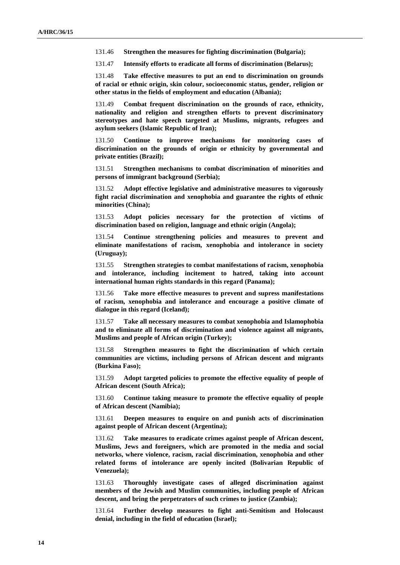131.46 **Strengthen the measures for fighting discrimination (Bulgaria);**

131.47 **Intensify efforts to eradicate all forms of discrimination (Belarus);**

131.48 **Take effective measures to put an end to discrimination on grounds of racial or ethnic origin, skin colour, socioeconomic status, gender, religion or other status in the fields of employment and education (Albania);**

131.49 **Combat frequent discrimination on the grounds of race, ethnicity, nationality and religion and strengthen efforts to prevent discriminatory stereotypes and hate speech targeted at Muslims, migrants, refugees and asylum seekers (Islamic Republic of Iran);**

131.50 **Continue to improve mechanisms for monitoring cases of discrimination on the grounds of origin or ethnicity by governmental and private entities (Brazil);**

131.51 **Strengthen mechanisms to combat discrimination of minorities and persons of immigrant background (Serbia);**

131.52 **Adopt effective legislative and administrative measures to vigorously fight racial discrimination and xenophobia and guarantee the rights of ethnic minorities (China);**

131.53 **Adopt policies necessary for the protection of victims of discrimination based on religion, language and ethnic origin (Angola);**

131.54 **Continue strengthening policies and measures to prevent and eliminate manifestations of racism, xenophobia and intolerance in society (Uruguay);**

131.55 **Strengthen strategies to combat manifestations of racism, xenophobia and intolerance, including incitement to hatred, taking into account international human rights standards in this regard (Panama);**

131.56 **Take more effective measures to prevent and supress manifestations of racism, xenophobia and intolerance and encourage a positive climate of dialogue in this regard (Iceland);**

131.57 **Take all necessary measures to combat xenophobia and Islamophobia and to eliminate all forms of discrimination and violence against all migrants, Muslims and people of African origin (Turkey);**

131.58 **Strengthen measures to fight the discrimination of which certain communities are victims, including persons of African descent and migrants (Burkina Faso);**

131.59 **Adopt targeted policies to promote the effective equality of people of African descent (South Africa);**

131.60 **Continue taking measure to promote the effective equality of people of African descent (Namibia);**

131.61 **Deepen measures to enquire on and punish acts of discrimination against people of African descent (Argentina);**

131.62 **Take measures to eradicate crimes against people of African descent, Muslims, Jews and foreigners, which are promoted in the media and social networks, where violence, racism, racial discrimination, xenophobia and other related forms of intolerance are openly incited (Bolivarian Republic of Venezuela);**

131.63 **Thoroughly investigate cases of alleged discrimination against members of the Jewish and Muslim communities, including people of African descent, and bring the perpetrators of such crimes to justice (Zambia);**

131.64 **Further develop measures to fight anti-Semitism and Holocaust denial, including in the field of education (Israel);**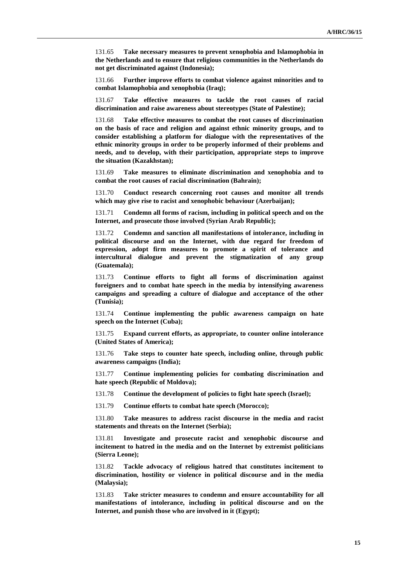131.65 **Take necessary measures to prevent xenophobia and Islamophobia in the Netherlands and to ensure that religious communities in the Netherlands do not get discriminated against (Indonesia);**

131.66 **Further improve efforts to combat violence against minorities and to combat Islamophobia and xenophobia (Iraq);**

131.67 **Take effective measures to tackle the root causes of racial discrimination and raise awareness about stereotypes (State of Palestine);**

131.68 **Take effective measures to combat the root causes of discrimination on the basis of race and religion and against ethnic minority groups, and to consider establishing a platform for dialogue with the representatives of the ethnic minority groups in order to be properly informed of their problems and needs, and to develop, with their participation, appropriate steps to improve the situation (Kazakhstan);**

131.69 **Take measures to eliminate discrimination and xenophobia and to combat the root causes of racial discrimination (Bahrain);**

131.70 **Conduct research concerning root causes and monitor all trends which may give rise to racist and xenophobic behaviour (Azerbaijan);**

131.71 **Condemn all forms of racism, including in political speech and on the Internet, and prosecute those involved (Syrian Arab Republic);**

131.72 **Condemn and sanction all manifestations of intolerance, including in political discourse and on the Internet, with due regard for freedom of expression, adopt firm measures to promote a spirit of tolerance and intercultural dialogue and prevent the stigmatization of any group (Guatemala);**

131.73 **Continue efforts to fight all forms of discrimination against foreigners and to combat hate speech in the media by intensifying awareness campaigns and spreading a culture of dialogue and acceptance of the other (Tunisia);**

131.74 **Continue implementing the public awareness campaign on hate speech on the Internet (Cuba);**

131.75 **Expand current efforts, as appropriate, to counter online intolerance (United States of America);**

131.76 **Take steps to counter hate speech, including online, through public awareness campaigns (India);**

131.77 **Continue implementing policies for combating discrimination and hate speech (Republic of Moldova);**

131.78 **Continue the development of policies to fight hate speech (Israel);**

131.79 **Continue efforts to combat hate speech (Morocco);**

131.80 **Take measures to address racist discourse in the media and racist statements and threats on the Internet (Serbia);**

131.81 **Investigate and prosecute racist and xenophobic discourse and incitement to hatred in the media and on the Internet by extremist politicians (Sierra Leone);**

131.82 **Tackle advocacy of religious hatred that constitutes incitement to discrimination, hostility or violence in political discourse and in the media (Malaysia);**

131.83 **Take stricter measures to condemn and ensure accountability for all manifestations of intolerance, including in political discourse and on the Internet, and punish those who are involved in it (Egypt);**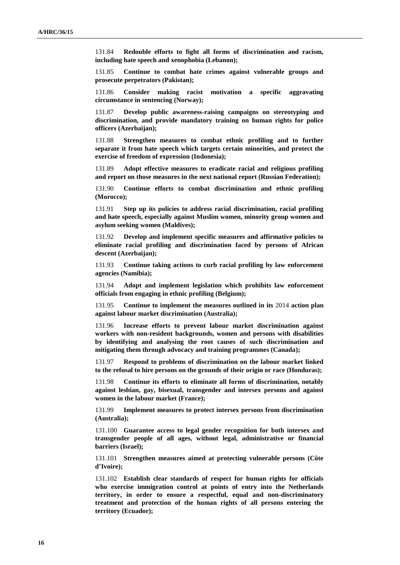131.84 **Redouble efforts to fight all forms of discrimination and racism, including hate speech and xenophobia (Lebanon);**

131.85 **Continue to combat hate crimes against vulnerable groups and prosecute perpetrators (Pakistan);**

131.86 **Consider making racist motivation a specific aggravating circumstance in sentencing (Norway);**

131.87 **Develop public awareness-raising campaigns on stereotyping and discrimination, and provide mandatory training on human rights for police officers (Azerbaijan);**

131.88 **Strengthen measures to combat ethnic profiling and to further separate it from hate speech which targets certain minorities, and protect the exercise of freedom of expression (Indonesia);**

131.89 **Adopt effective measures to eradicate racial and religious profiling and report on those measures in the next national report (Russian Federation);**

131.90 **Continue efforts to combat discrimination and ethnic profiling (Morocco);**

131.91 **Step up its policies to address racial discrimination, racial profiling and hate speech, especially against Muslim women, minority group women and asylum seeking women (Maldives);**

131.92 **Develop and implement specific measures and affirmative policies to eliminate racial profiling and discrimination faced by persons of African descent (Azerbaijan);**

131.93 **Continue taking actions to curb racial profiling by law enforcement agencies (Namibia);**

131.94 **Adopt and implement legislation which prohibits law enforcement officials from engaging in ethnic profiling (Belgium);**

131.95 **Continue to implement the measures outlined in its** 2014 **action plan against labour market discrimination (Australia);**

131.96 **Increase efforts to prevent labour market discrimination against workers with non-resident backgrounds, women and persons with disabilities by identifying and analysing the root causes of such discrimination and mitigating them through advocacy and training programmes (Canada);**

131.97 **Respond to problems of discrimination on the labour market linked to the refusal to hire persons on the grounds of their origin or race (Honduras);**

131.98 **Continue its efforts to eliminate all forms of discrimination, notably against lesbian, gay, bisexual, transgender and intersex persons and against women in the labour market (France);**

131.99 **Implement measures to protect intersex persons from discrimination (Australia);**

131.100 **Guarantee access to legal gender recognition for both intersex and transgender people of all ages, without legal, administrative or financial barriers (Israel);**

131.101 **Strengthen measures aimed at protecting vulnerable persons (Côte d'Ivoire);**

131.102 **Establish clear standards of respect for human rights for officials who exercise immigration control at points of entry into the Netherlands territory, in order to ensure a respectful, equal and non-discriminatory treatment and protection of the human rights of all persons entering the territory (Ecuador);**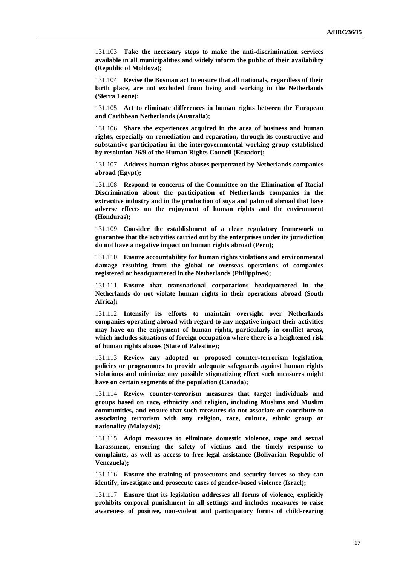131.103 **Take the necessary steps to make the anti-discrimination services available in all municipalities and widely inform the public of their availability (Republic of Moldova);**

131.104 **Revise the Bosman act to ensure that all nationals, regardless of their birth place, are not excluded from living and working in the Netherlands (Sierra Leone);**

131.105 **Act to eliminate differences in human rights between the European and Caribbean Netherlands (Australia);**

131.106 **Share the experiences acquired in the area of business and human rights, especially on remediation and reparation, through its constructive and substantive participation in the intergovernmental working group established by resolution 26/9 of the Human Rights Council (Ecuador);**

131.107 **Address human rights abuses perpetrated by Netherlands companies abroad (Egypt);**

131.108 **Respond to concerns of the Committee on the Elimination of Racial Discrimination about the participation of Netherlands companies in the extractive industry and in the production of soya and palm oil abroad that have adverse effects on the enjoyment of human rights and the environment (Honduras);**

131.109 **Consider the establishment of a clear regulatory framework to guarantee that the activities carried out by the enterprises under its jurisdiction do not have a negative impact on human rights abroad (Peru);**

131.110 **Ensure accountability for human rights violations and environmental damage resulting from the global or overseas operations of companies registered or headquartered in the Netherlands (Philippines);**

131.111 **Ensure that transnational corporations headquartered in the Netherlands do not violate human rights in their operations abroad (South Africa);**

131.112 **Intensify its efforts to maintain oversight over Netherlands companies operating abroad with regard to any negative impact their activities may have on the enjoyment of human rights, particularly in conflict areas, which includes situations of foreign occupation where there is a heightened risk of human rights abuses (State of Palestine);**

131.113 **Review any adopted or proposed counter-terrorism legislation, policies or programmes to provide adequate safeguards against human rights violations and minimize any possible stigmatizing effect such measures might have on certain segments of the population (Canada);**

131.114 **Review counter-terrorism measures that target individuals and groups based on race, ethnicity and religion, including Muslims and Muslim communities, and ensure that such measures do not associate or contribute to associating terrorism with any religion, race, culture, ethnic group or nationality (Malaysia);**

131.115 **Adopt measures to eliminate domestic violence, rape and sexual harassment, ensuring the safety of victims and the timely response to complaints, as well as access to free legal assistance (Bolivarian Republic of Venezuela);**

131.116 **Ensure the training of prosecutors and security forces so they can identify, investigate and prosecute cases of gender-based violence (Israel);**

131.117 **Ensure that its legislation addresses all forms of violence, explicitly prohibits corporal punishment in all settings and includes measures to raise awareness of positive, non-violent and participatory forms of child-rearing**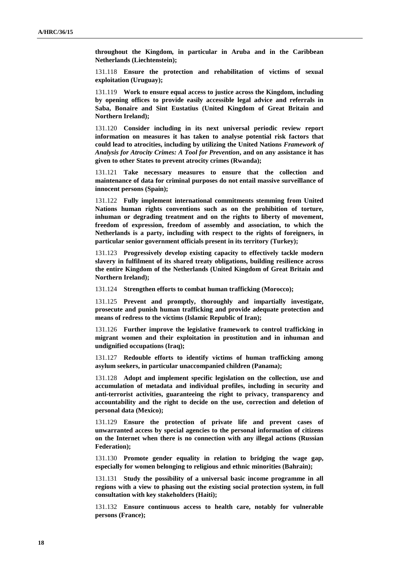**throughout the Kingdom, in particular in Aruba and in the Caribbean Netherlands (Liechtenstein);**

131.118 **Ensure the protection and rehabilitation of victims of sexual exploitation (Uruguay);**

131.119 **Work to ensure equal access to justice across the Kingdom, including by opening offices to provide easily accessible legal advice and referrals in Saba, Bonaire and Sint Eustatius (United Kingdom of Great Britain and Northern Ireland);**

131.120 **Consider including in its next universal periodic review report information on measures it has taken to analyse potential risk factors that could lead to atrocities, including by utilizing the United Nations** *Framework of Analysis for Atrocity Crimes: A Tool for Prevention***, and on any assistance it has given to other States to prevent atrocity crimes (Rwanda);**

131.121 **Take necessary measures to ensure that the collection and maintenance of data for criminal purposes do not entail massive surveillance of innocent persons (Spain);**

131.122 **Fully implement international commitments stemming from United Nations human rights conventions such as on the prohibition of torture, inhuman or degrading treatment and on the rights to liberty of movement, freedom of expression, freedom of assembly and association, to which the Netherlands is a party, including with respect to the rights of foreigners, in particular senior government officials present in its territory (Turkey);**

131.123 **Progressively develop existing capacity to effectively tackle modern slavery in fulfilment of its shared treaty obligations, building resilience across the entire Kingdom of the Netherlands (United Kingdom of Great Britain and Northern Ireland);**

131.124 **Strengthen efforts to combat human trafficking (Morocco);**

131.125 **Prevent and promptly, thoroughly and impartially investigate, prosecute and punish human trafficking and provide adequate protection and means of redress to the victims (Islamic Republic of Iran);**

131.126 **Further improve the legislative framework to control trafficking in migrant women and their exploitation in prostitution and in inhuman and undignified occupations (Iraq);**

131.127 **Redouble efforts to identify victims of human trafficking among asylum seekers, in particular unaccompanied children (Panama);**

131.128 **Adopt and implement specific legislation on the collection, use and accumulation of metadata and individual profiles, including in security and anti-terrorist activities, guaranteeing the right to privacy, transparency and accountability and the right to decide on the use, correction and deletion of personal data (Mexico);**

131.129 **Ensure the protection of private life and prevent cases of unwarranted access by special agencies to the personal information of citizens on the Internet when there is no connection with any illegal actions (Russian Federation);**

131.130 **Promote gender equality in relation to bridging the wage gap, especially for women belonging to religious and ethnic minorities (Bahrain);**

131.131 **Study the possibility of a universal basic income programme in all regions with a view to phasing out the existing social protection system, in full consultation with key stakeholders (Haiti);**

131.132 **Ensure continuous access to health care, notably for vulnerable persons (France);**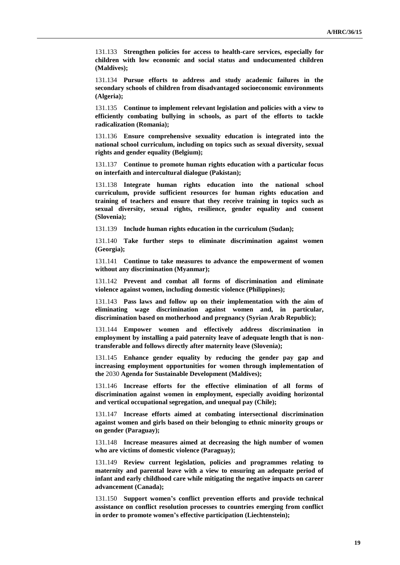131.133 **Strengthen policies for access to health-care services, especially for children with low economic and social status and undocumented children (Maldives);**

131.134 **Pursue efforts to address and study academic failures in the secondary schools of children from disadvantaged socioeconomic environments (Algeria);**

131.135 **Continue to implement relevant legislation and policies with a view to efficiently combating bullying in schools, as part of the efforts to tackle radicalization (Romania);**

131.136 **Ensure comprehensive sexuality education is integrated into the national school curriculum, including on topics such as sexual diversity, sexual rights and gender equality (Belgium);**

131.137 **Continue to promote human rights education with a particular focus on interfaith and intercultural dialogue (Pakistan);**

131.138 **Integrate human rights education into the national school curriculum, provide sufficient resources for human rights education and training of teachers and ensure that they receive training in topics such as sexual diversity, sexual rights, resilience, gender equality and consent (Slovenia);**

131.139 **Include human rights education in the curriculum (Sudan);**

131.140 **Take further steps to eliminate discrimination against women (Georgia);**

131.141 **Continue to take measures to advance the empowerment of women without any discrimination (Myanmar);**

131.142 **Prevent and combat all forms of discrimination and eliminate violence against women, including domestic violence (Philippines);**

131.143 **Pass laws and follow up on their implementation with the aim of eliminating wage discrimination against women and, in particular, discrimination based on motherhood and pregnancy (Syrian Arab Republic);**

131.144 **Empower women and effectively address discrimination in employment by installing a paid paternity leave of adequate length that is nontransferable and follows directly after maternity leave (Slovenia);**

131.145 **Enhance gender equality by reducing the gender pay gap and increasing employment opportunities for women through implementation of the** 2030 **Agenda for Sustainable Development (Maldives);**

131.146 **Increase efforts for the effective elimination of all forms of discrimination against women in employment, especially avoiding horizontal and vertical occupational segregation, and unequal pay (Chile);**

131.147 **Increase efforts aimed at combating intersectional discrimination against women and girls based on their belonging to ethnic minority groups or on gender (Paraguay);**

131.148 **Increase measures aimed at decreasing the high number of women who are victims of domestic violence (Paraguay);**

131.149 **Review current legislation, policies and programmes relating to maternity and parental leave with a view to ensuring an adequate period of infant and early childhood care while mitigating the negative impacts on career advancement (Canada);**

131.150 **Support women's conflict prevention efforts and provide technical assistance on conflict resolution processes to countries emerging from conflict in order to promote women's effective participation (Liechtenstein);**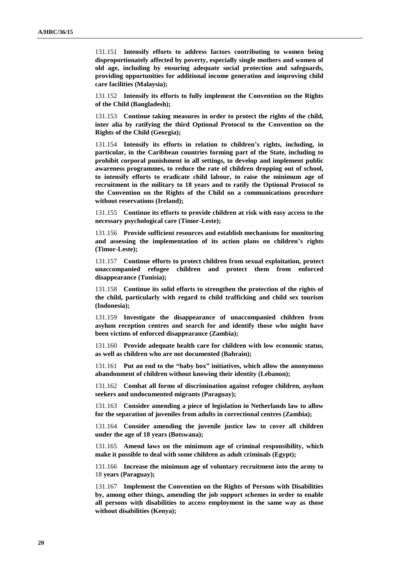131.151 **Intensify efforts to address factors contributing to women being disproportionately affected by poverty, especially single mothers and women of old age, including by ensuring adequate social protection and safeguards, providing opportunities for additional income generation and improving child care facilities (Malaysia);**

131.152 **Intensify its efforts to fully implement the Convention on the Rights of the Child (Bangladesh);**

131.153 **Continue taking measures in order to protect the rights of the child, inter alia by ratifying the third Optional Protocol to the Convention on the Rights of the Child (Georgia);**

131.154 **Intensify its efforts in relation to children's rights, including, in particular, in the Caribbean countries forming part of the State, including to prohibit corporal punishment in all settings, to develop and implement public awareness programmes, to reduce the rate of children dropping out of school, to intensify efforts to eradicate child labour, to raise the minimum age of recruitment in the military to 18 years and to ratify the Optional Protocol to the Convention on the Rights of the Child on a communications procedure without reservations (Ireland);**

131.155 **Continue its efforts to provide children at risk with easy access to the necessary psychological care (Timor-Leste);**

131.156 **Provide sufficient resources and establish mechanisms for monitoring and assessing the implementation of its action plans on children's rights (Timor-Leste);**

131.157 **Continue efforts to protect children from sexual exploitation, protect unaccompanied refugee children and protect them from enforced disappearance (Tunisia);**

131.158 **Continue its solid efforts to strengthen the protection of the rights of the child, particularly with regard to child trafficking and child sex tourism (Indonesia);**

131.159 **Investigate the disappearance of unaccompanied children from asylum reception centres and search for and identify those who might have been victims of enforced disappearance (Zambia);**

131.160 **Provide adequate health care for children with low economic status, as well as children who are not documented (Bahrain);**

131.161 **Put an end to the "baby box" initiatives, which allow the anonymous abandonment of children without knowing their identity (Lebanon);**

131.162 **Combat all forms of discrimination against refugee children, asylum seekers and undocumented migrants (Paraguay);**

131.163 **Consider amending a piece of legislation in Netherlands law to allow for the separation of juveniles from adults in correctional centres (Zambia);**

131.164 **Consider amending the juvenile justice law to cover all children under the age of 18 years (Botswana);**

131.165 **Amend laws on the minimum age of criminal responsibility, which make it possible to deal with some children as adult criminals (Egypt);**

131.166 **Increase the minimum age of voluntary recruitment into the army to**  18 **years (Paraguay);**

131.167 **Implement the Convention on the Rights of Persons with Disabilities by, among other things, amending the job support schemes in order to enable all persons with disabilities to access employment in the same way as those without disabilities (Kenya);**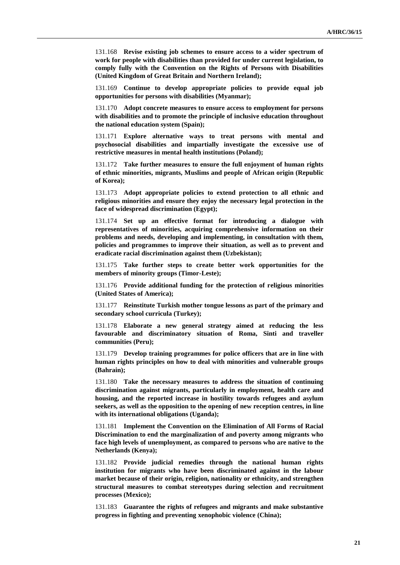131.168 **Revise existing job schemes to ensure access to a wider spectrum of work for people with disabilities than provided for under current legislation, to comply fully with the Convention on the Rights of Persons with Disabilities (United Kingdom of Great Britain and Northern Ireland);**

131.169 **Continue to develop appropriate policies to provide equal job opportunities for persons with disabilities (Myanmar);**

131.170 **Adopt concrete measures to ensure access to employment for persons with disabilities and to promote the principle of inclusive education throughout the national education system (Spain);**

131.171 **Explore alternative ways to treat persons with mental and psychosocial disabilities and impartially investigate the excessive use of restrictive measures in mental health institutions (Poland);**

131.172 **Take further measures to ensure the full enjoyment of human rights of ethnic minorities, migrants, Muslims and people of African origin (Republic of Korea);**

131.173 **Adopt appropriate policies to extend protection to all ethnic and religious minorities and ensure they enjoy the necessary legal protection in the face of widespread discrimination (Egypt);**

131.174 **Set up an effective format for introducing a dialogue with representatives of minorities, acquiring comprehensive information on their problems and needs, developing and implementing, in consultation with them, policies and programmes to improve their situation, as well as to prevent and eradicate racial discrimination against them (Uzbekistan);**

131.175 **Take further steps to create better work opportunities for the members of minority groups (Timor-Leste);**

131.176 **Provide additional funding for the protection of religious minorities (United States of America);**

131.177 **Reinstitute Turkish mother tongue lessons as part of the primary and secondary school curricula (Turkey);**

131.178 **Elaborate a new general strategy aimed at reducing the less favourable and discriminatory situation of Roma, Sinti and traveller communities (Peru);**

131.179 **Develop training programmes for police officers that are in line with human rights principles on how to deal with minorities and vulnerable groups (Bahrain);**

131.180 **Take the necessary measures to address the situation of continuing discrimination against migrants, particularly in employment, health care and housing, and the reported increase in hostility towards refugees and asylum seekers, as well as the opposition to the opening of new reception centres, in line with its international obligations (Uganda);**

131.181 **Implement the Convention on the Elimination of All Forms of Racial Discrimination to end the marginalization of and poverty among migrants who face high levels of unemployment, as compared to persons who are native to the Netherlands (Kenya);**

131.182 **Provide judicial remedies through the national human rights institution for migrants who have been discriminated against in the labour market because of their origin, religion, nationality or ethnicity, and strengthen structural measures to combat stereotypes during selection and recruitment processes (Mexico);**

131.183 **Guarantee the rights of refugees and migrants and make substantive progress in fighting and preventing xenophobic violence (China);**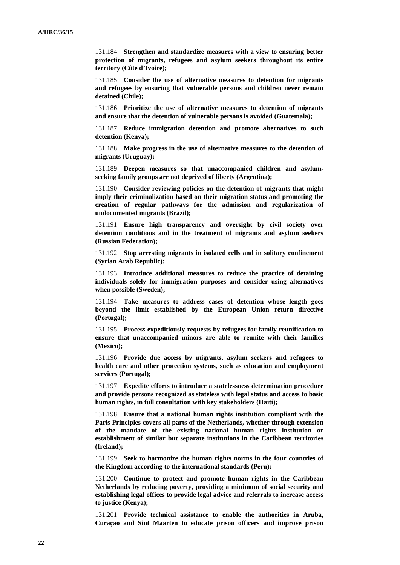131.184 **Strengthen and standardize measures with a view to ensuring better protection of migrants, refugees and asylum seekers throughout its entire territory (Côte d'Ivoire);**

131.185 **Consider the use of alternative measures to detention for migrants and refugees by ensuring that vulnerable persons and children never remain detained (Chile);**

131.186 **Prioritize the use of alternative measures to detention of migrants and ensure that the detention of vulnerable persons is avoided (Guatemala);**

131.187 **Reduce immigration detention and promote alternatives to such detention (Kenya);**

131.188 **Make progress in the use of alternative measures to the detention of migrants (Uruguay);**

131.189 **Deepen measures so that unaccompanied children and asylumseeking family groups are not deprived of liberty (Argentina);**

131.190 **Consider reviewing policies on the detention of migrants that might imply their criminalization based on their migration status and promoting the creation of regular pathways for the admission and regularization of undocumented migrants (Brazil);**

131.191 **Ensure high transparency and oversight by civil society over detention conditions and in the treatment of migrants and asylum seekers (Russian Federation);**

131.192 **Stop arresting migrants in isolated cells and in solitary confinement (Syrian Arab Republic);**

131.193 **Introduce additional measures to reduce the practice of detaining individuals solely for immigration purposes and consider using alternatives when possible (Sweden);**

131.194 **Take measures to address cases of detention whose length goes beyond the limit established by the European Union return directive (Portugal);**

131.195 **Process expeditiously requests by refugees for family reunification to ensure that unaccompanied minors are able to reunite with their families (Mexico);**

131.196 **Provide due access by migrants, asylum seekers and refugees to health care and other protection systems, such as education and employment services (Portugal);**

131.197 **Expedite efforts to introduce a statelessness determination procedure and provide persons recognized as stateless with legal status and access to basic human rights, in full consultation with key stakeholders (Haiti);**

131.198 **Ensure that a national human rights institution compliant with the Paris Principles covers all parts of the Netherlands, whether through extension of the mandate of the existing national human rights institution or establishment of similar but separate institutions in the Caribbean territories (Ireland);**

131.199 **Seek to harmonize the human rights norms in the four countries of the Kingdom according to the international standards (Peru);**

131.200 **Continue to protect and promote human rights in the Caribbean Netherlands by reducing poverty, providing a minimum of social security and establishing legal offices to provide legal advice and referrals to increase access to justice (Kenya);**

131.201 **Provide technical assistance to enable the authorities in Aruba, Curaçao and Sint Maarten to educate prison officers and improve prison**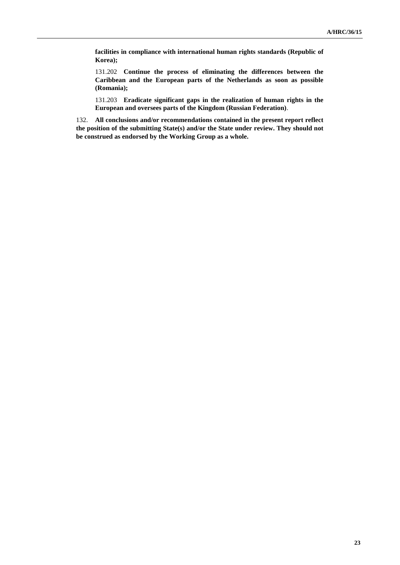**facilities in compliance with international human rights standards (Republic of Korea);**

131.202 **Continue the process of eliminating the differences between the Caribbean and the European parts of the Netherlands as soon as possible (Romania);**

131.203 **Eradicate significant gaps in the realization of human rights in the European and oversees parts of the Kingdom (Russian Federation)**.

132. **All conclusions and/or recommendations contained in the present report reflect the position of the submitting State(s) and/or the State under review. They should not be construed as endorsed by the Working Group as a whole.**